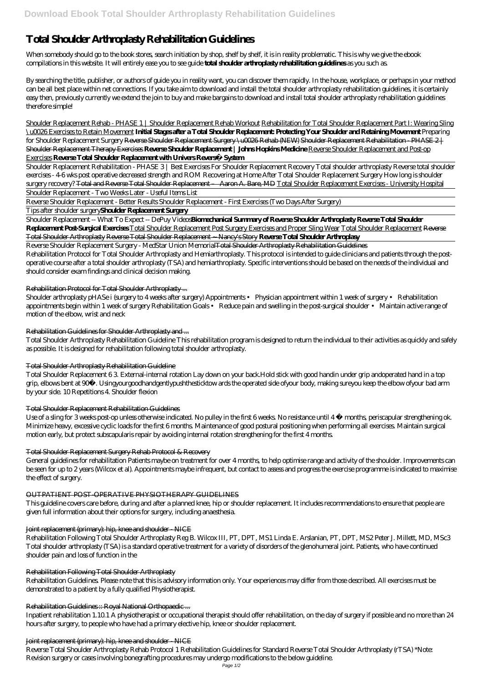# **Total Shoulder Arthroplasty Rehabilitation Guidelines**

When somebody should go to the book stores, search initiation by shop, shelf by shelf, it is in reality problematic. This is why we give the ebook compilations in this website. It will entirely ease you to see guide **total shoulder arthroplasty rehabilitation guidelines** as you such as.

By searching the title, publisher, or authors of guide you in reality want, you can discover them rapidly. In the house, workplace, or perhaps in your method can be all best place within net connections. If you take aim to download and install the total shoulder arthroplasty rehabilitation guidelines, it is certainly easy then, previously currently we extend the join to buy and make bargains to download and install total shoulder arthroplasty rehabilitation guidelines therefore simple!

Shoulder Replacement Rehab - PHASE 1 | Shoulder Replacement Rehab Workout Rehabilitation for Total Shoulder Replacement Part I: Wearing Sling \u0026 Exercises to Retain Movement **Initial Stages after a Total Shoulder Replacement: Protecting Your Shoulder and Retaining Movement** *Preparing for Shoulder Replacement Surgery* Reverse Shoulder Replacement Surgery \u0026 Rehab (NEW) Shoulder Replacement Rehabilitation - PHASE 2 | Shoulder Replacement Therapy Exercises **Reverse Shoulder Replacement | Johns Hopkins Medicine** Reverse Shoulder Replacement and Post-op Exercises **Reverse Total Shoulder Replacement with Univers Revers™ System**

Shoulder arthroplasty pHASe i (surgery to 4 weeks after surgery) Appointments • Physician appointment within 1 week of surgery • Rehabilitation appointments begin within 1 week of surgery Rehabilitation Goals • Reduce pain and swelling in the post-surgical shoulder • Maintain active range of motion of the elbow, wrist and neck

Shoulder Replacement Rehabilitation - PHASE 3 | Best Exercises For Shoulder Replacement Recovery Total shoulder arthroplasty *Reverse total shoulder exercises - 4-6 wks post operative decreased strength and ROM* Recovering at Home After Total Shoulder Replacement Surgery *How long is shoulder surgery recovery?* Total and Reverse Total Shoulder Replacement – Aaron A. Bare, MD Total Shoulder Replacement Exercises - University Hospital Shoulder Replacement - Two Weeks Later - Useful Items List

Reverse Shoulder Replacement - Better Results Shoulder Replacement - First Exercises (Two Days After Surgery)

Tips after shoulder surgery**Shoulder Replacement Surgery**

Shoulder Replacement -- What To Expect -- DePuy Videos**Biomechanical Summary of Reverse Shoulder Arthroplasty Reverse Total Shoulder Replacement Post-Surgical Exercises** Total Shoulder Replacement Post Surgery Exercises and Proper Sling Wear Total Shoulder Replacement Reverse Total Shoulder Arthroplasty Reverse Total Shoulder Replacement ~ Nancy's Story **Reverse Total Shoulder Arthroplasy**

Reverse Shoulder Replacement Surgery - MedStar Union MemorialTotal Shoulder Arthroplasty Rehabilitation Guidelines Rehabilitation Protocol for Total Shoulder Arthroplasty and Hemiarthroplasty. This protocol is intended to guide clinicians and patients through the postoperative course after a total shoulder arthroplasty (TSA) and hemiarthroplasty. Specific interventions should be based on the needs of the individual and should consider exam findings and clinical decision making.

# Rehabilitation Protocol for Total Shoulder Arthroplasty ...

# Rehabilitation Guidelines for Shoulder Arthroplasty and ...

Total Shoulder Arthroplasty Rehabilitation Guideline This rehabilitation program is designed to return the individual to their activities as quickly and safely as possible. It is designed for rehabilitation following total shoulder arthroplasty.

### Total Shoulder Arthroplasty Rehabilitation Guideline

Total Shoulder Replacement 6 3. External-internal rotation Lay down on your back.Hold stick with good handin under grip andoperated hand in a top grip, elbows bent at 90º. Usingyourgoodhandgentlypushthesticktow ards the operated side ofyour body, making sureyou keep the elbow ofyour bad arm by your side. 10 Repetitions 4. Shoulder flexion

### Total Shoulder Replacement Rehabilitation Guidelines

Use of a sling for 3 weeks post-op unless otherwise indicated. No pulley in the first 6 weeks. No resistance until 4 ½ months, periscapular strengthening ok. Minimize heavy, excessive cyclic loads for the first 6 months. Maintenance of good postural positioning when performing all exercises. Maintain surgical motion early, but protect subscapularis repair by avoiding internal rotation strengthening for the first 4 months.

# Total Shoulder Replacement Surgery Rehab Protocol & Recovery

General guidelines for rehabilitation Patients maybe on treatment for over 4 months, to help optimise range and activity of the shoulder. Improvements can be seen for up to 2 years (Wilcox et al). Appointments maybe infrequent, but contact to assess and progress the exercise programme is indicated to maximise the effect of surgery.

# OUTPATIENT POST-OPERATIVE PHYSIOTHERAPY GUIDELINES

This guideline covers care before, during and after a planned knee, hip or shoulder replacement. It includes recommendations to ensure that people are given full information about their options for surgery, including anaesthesia.

#### Joint replacement (primary): hip, knee and shoulder - NICE

Rehabilitation Following Total Shoulder Arthroplasty Reg B. Wilcox III, PT, DPT, MS1 Linda E. Arslanian, PT, DPT, MS2 Peter J. Millett, MD, MSc3 Total shoulder arthroplasty (TSA) is a standard operative treatment for a variety of disorders of the glenohumeral joint. Patients, who have continued shoulder pain and loss of function in the

#### Rehabilitation Following Total Shoulder Arthroplasty

Rehabilitation Guidelines. Please note that this is advisory information only. Your experiences may differ from those described. All exercises must be demonstrated to a patient by a fully qualified Physiotherapist.

#### Rehabilitation Guidelines :: Royal National Orthopaedic ...

Inpatient rehabilitation 1.10.1 A physiotherapist or occupational therapist should offer rehabilitation, on the day of surgery if possible and no more than 24 hours after surgery, to people who have had a primary elective hip, knee or shoulder replacement.

#### Joint replacement (primary): hip, knee and shoulder - NICE

Reverse Total Shoulder Arthroplasty Rehab Protocol 1 Rehabilitation Guidelines for Standard Reverse Total Shoulder Arthroplasty (rTSA) \*Note: Revision surgery or cases involving bonegrafting procedures may undergo modifications to the below guideline.